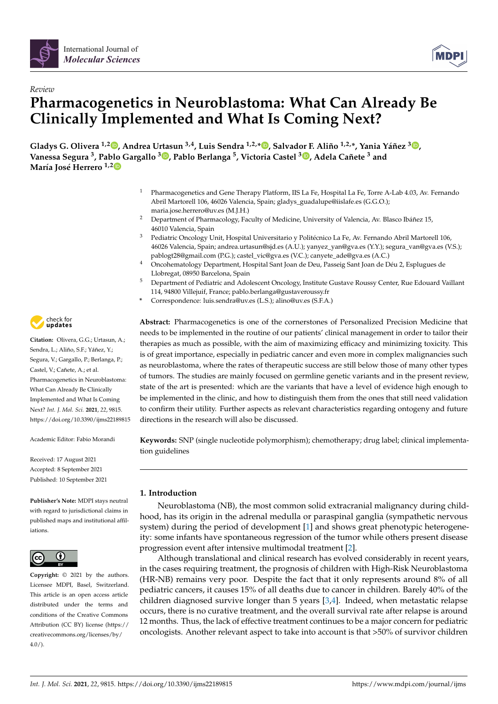

# *Review* **Pharmacogenetics in Neuroblastoma: What Can Already Be Clinically Implemented and What Is Coming Next?**

**Gladys G. Olivera 1,2 [,](https://orcid.org/0000-0002-7698-2122) Andrea Urtasun 3,4, Luis Sendra 1,2,[\\*](https://orcid.org/0000-0003-3176-9763) , Salvador F. Aliño 1,2,\*, Yania Yáñez <sup>3</sup> [,](https://orcid.org/0000-0001-8392-4978) Vanessa Segura <sup>3</sup> , Pablo Gargallo <sup>3</sup> [,](https://orcid.org/0000-0001-9720-8542) Pablo Berlanga <sup>5</sup> , Victoria Castel <sup>3</sup> [,](https://orcid.org/0000-0002-3792-0615) Adela Cañete <sup>3</sup> and María José Herrero 1,[2](https://orcid.org/0000-0002-6042-4185)**

- <sup>1</sup> Pharmacogenetics and Gene Therapy Platform, IIS La Fe, Hospital La Fe, Torre A-Lab 4.03, Av. Fernando Abril Martorell 106, 46026 Valencia, Spain; gladys\_guadalupe@iislafe.es (G.G.O.); maria.jose.herrero@uv.es (M.J.H.)
- <sup>2</sup> Department of Pharmacology, Faculty of Medicine, University of Valencia, Av. Blasco Ibáñez 15, 46010 Valencia, Spain
- <sup>3</sup> Pediatric Oncology Unit, Hospital Universitario y Politécnico La Fe, Av. Fernando Abril Martorell 106, 46026 Valencia, Spain; andrea.urtasun@sjd.es (A.U.); yanyez\_yan@gva.es (Y.Y.); segura\_van@gva.es (V.S.); pablogt28@gmail.com (P.G.); castel\_vic@gva.es (V.C.); canyete\_ade@gva.es (A.C.)
- <sup>4</sup> Oncohematology Department, Hospital Sant Joan de Deu, Passeig Sant Joan de Déu 2, Esplugues de Llobregat, 08950 Barcelona, Spain
- <sup>5</sup> Department of Pediatric and Adolescent Oncology, Institute Gustave Roussy Center, Rue Edouard Vaillant 114, 94800 Villejuif, France; pablo.berlanga@gustaveroussy.fr
- **\*** Correspondence: luis.sendra@uv.es (L.S.); alino@uv.es (S.F.A.)

**Abstract:** Pharmacogenetics is one of the cornerstones of Personalized Precision Medicine that needs to be implemented in the routine of our patients' clinical management in order to tailor their therapies as much as possible, with the aim of maximizing efficacy and minimizing toxicity. This is of great importance, especially in pediatric cancer and even more in complex malignancies such as neuroblastoma, where the rates of therapeutic success are still below those of many other types of tumors. The studies are mainly focused on germline genetic variants and in the present review, state of the art is presented: which are the variants that have a level of evidence high enough to be implemented in the clinic, and how to distinguish them from the ones that still need validation to confirm their utility. Further aspects as relevant characteristics regarding ontogeny and future directions in the research will also be discussed.

**Keywords:** SNP (single nucleotide polymorphism); chemotherapy; drug label; clinical implementation guidelines

## **1. Introduction**

Neuroblastoma (NB), the most common solid extracranial malignancy during childhood, has its origin in the adrenal medulla or paraspinal ganglia (sympathetic nervous system) during the period of development [\[1\]](#page-12-0) and shows great phenotypic heterogeneity: some infants have spontaneous regression of the tumor while others present disease progression event after intensive multimodal treatment [\[2\]](#page-12-1).

Although translational and clinical research has evolved considerably in recent years, in the cases requiring treatment, the prognosis of children with High-Risk Neuroblastoma (HR-NB) remains very poor. Despite the fact that it only represents around 8% of all pediatric cancers, it causes 15% of all deaths due to cancer in children. Barely 40% of the children diagnosed survive longer than 5 years [\[3](#page-12-2)[,4\]](#page-12-3). Indeed, when metastatic relapse occurs, there is no curative treatment, and the overall survival rate after relapse is around 12 months. Thus, the lack of effective treatment continues to be a major concern for pediatric oncologists. Another relevant aspect to take into account is that >50% of survivor children



**Citation:** Olivera, G.G.; Urtasun, A.; Sendra, L.; Aliño, S.F.; Yáñez, Y.; Segura, V.; Gargallo, P.; Berlanga, P.; Castel, V.; Cañete, A.; et al. Pharmacogenetics in Neuroblastoma: What Can Already Be Clinically Implemented and What Is Coming Next? *Int. J. Mol. Sci.* **2021**, *22*, 9815. <https://doi.org/10.3390/ijms22189815>

Academic Editor: Fabio Morandi

Received: 17 August 2021 Accepted: 8 September 2021 Published: 10 September 2021

**Publisher's Note:** MDPI stays neutral with regard to jurisdictional claims in published maps and institutional affiliations.



**Copyright:** © 2021 by the authors. Licensee MDPI, Basel, Switzerland. This article is an open access article distributed under the terms and conditions of the Creative Commons Attribution (CC BY) license (https:/[/](https://creativecommons.org/licenses/by/4.0/) [creativecommons.org/licenses/by/](https://creativecommons.org/licenses/by/4.0/)  $4.0/$ ).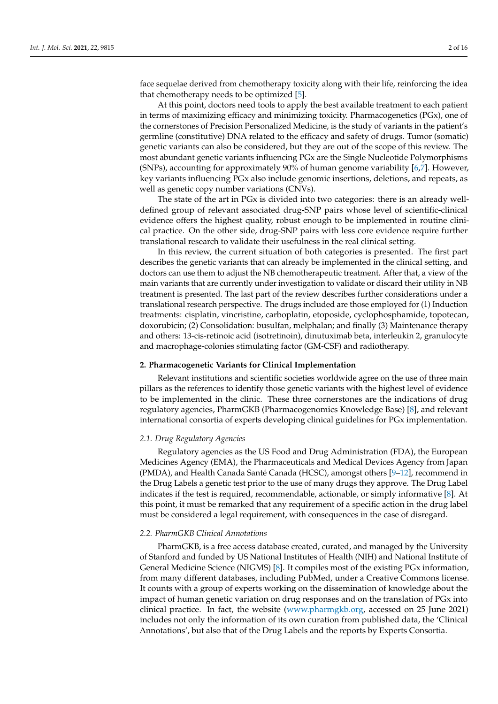face sequelae derived from chemotherapy toxicity along with their life, reinforcing the idea that chemotherapy needs to be optimized [\[5\]](#page-12-4).

At this point, doctors need tools to apply the best available treatment to each patient in terms of maximizing efficacy and minimizing toxicity. Pharmacogenetics (PGx), one of the cornerstones of Precision Personalized Medicine, is the study of variants in the patient's germline (constitutive) DNA related to the efficacy and safety of drugs. Tumor (somatic) genetic variants can also be considered, but they are out of the scope of this review. The most abundant genetic variants influencing PGx are the Single Nucleotide Polymorphisms (SNPs), accounting for approximately 90% of human genome variability [\[6](#page-12-5)[,7\]](#page-12-6). However, key variants influencing PGx also include genomic insertions, deletions, and repeats, as well as genetic copy number variations (CNVs).

The state of the art in PGx is divided into two categories: there is an already welldefined group of relevant associated drug-SNP pairs whose level of scientific-clinical evidence offers the highest quality, robust enough to be implemented in routine clinical practice. On the other side, drug-SNP pairs with less core evidence require further translational research to validate their usefulness in the real clinical setting.

In this review, the current situation of both categories is presented. The first part describes the genetic variants that can already be implemented in the clinical setting, and doctors can use them to adjust the NB chemotherapeutic treatment. After that, a view of the main variants that are currently under investigation to validate or discard their utility in NB treatment is presented. The last part of the review describes further considerations under a translational research perspective. The drugs included are those employed for (1) Induction treatments: cisplatin, vincristine, carboplatin, etoposide, cyclophosphamide, topotecan, doxorubicin; (2) Consolidation: busulfan, melphalan; and finally (3) Maintenance therapy and others: 13-cis-retinoic acid (isotretinoin), dinutuximab beta, interleukin 2, granulocyte and macrophage-colonies stimulating factor (GM-CSF) and radiotherapy.

#### **2. Pharmacogenetic Variants for Clinical Implementation**

Relevant institutions and scientific societies worldwide agree on the use of three main pillars as the references to identify those genetic variants with the highest level of evidence to be implemented in the clinic. These three cornerstones are the indications of drug regulatory agencies, PharmGKB (Pharmacogenomics Knowledge Base) [\[8\]](#page-12-7), and relevant international consortia of experts developing clinical guidelines for PGx implementation.

### *2.1. Drug Regulatory Agencies*

Regulatory agencies as the US Food and Drug Administration (FDA), the European Medicines Agency (EMA), the Pharmaceuticals and Medical Devices Agency from Japan (PMDA), and Health Canada Santé Canada (HCSC), amongst others [\[9](#page-12-8)[–12\]](#page-12-9), recommend in the Drug Labels a genetic test prior to the use of many drugs they approve. The Drug Label indicates if the test is required, recommendable, actionable, or simply informative [\[8\]](#page-12-7). At this point, it must be remarked that any requirement of a specific action in the drug label must be considered a legal requirement, with consequences in the case of disregard.

#### *2.2. PharmGKB Clinical Annotations*

PharmGKB, is a free access database created, curated, and managed by the University of Stanford and funded by US National Institutes of Health (NIH) and National Institute of General Medicine Science (NIGMS) [\[8\]](#page-12-7). It compiles most of the existing PGx information, from many different databases, including PubMed, under a Creative Commons license. It counts with a group of experts working on the dissemination of knowledge about the impact of human genetic variation on drug responses and on the translation of PGx into clinical practice. In fact, the website [\(www.pharmgkb.org,](www.pharmgkb.org) accessed on 25 June 2021) includes not only the information of its own curation from published data, the 'Clinical Annotations', but also that of the Drug Labels and the reports by Experts Consortia.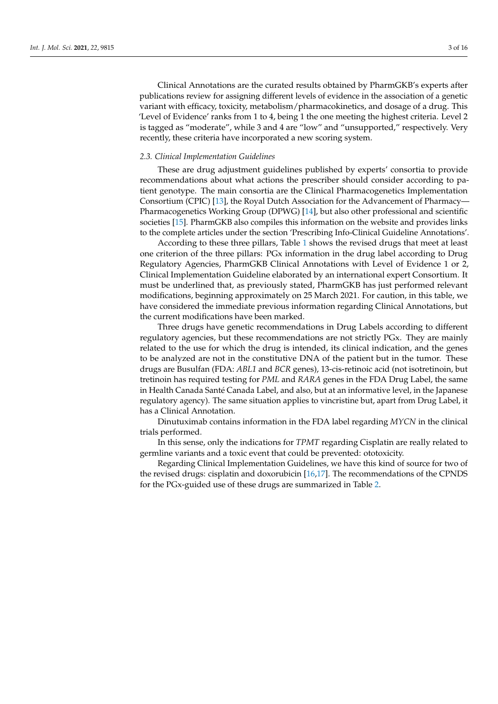Clinical Annotations are the curated results obtained by PharmGKB's experts after publications review for assigning different levels of evidence in the association of a genetic variant with efficacy, toxicity, metabolism/pharmacokinetics, and dosage of a drug. This 'Level of Evidence' ranks from 1 to 4, being 1 the one meeting the highest criteria. Level 2 is tagged as "moderate", while 3 and 4 are "low" and "unsupported," respectively. Very recently, these criteria have incorporated a new scoring system.

#### *2.3. Clinical Implementation Guidelines*

These are drug adjustment guidelines published by experts' consortia to provide recommendations about what actions the prescriber should consider according to patient genotype. The main consortia are the Clinical Pharmacogenetics Implementation Consortium (CPIC) [\[13\]](#page-12-10), the Royal Dutch Association for the Advancement of Pharmacy— Pharmacogenetics Working Group (DPWG) [\[14\]](#page-12-11), but also other professional and scientific societies [\[15\]](#page-12-12). PharmGKB also compiles this information on the website and provides links to the complete articles under the section 'Prescribing Info-Clinical Guideline Annotations'.

According to these three pillars, Table [1](#page-3-0) shows the revised drugs that meet at least one criterion of the three pillars: PGx information in the drug label according to Drug Regulatory Agencies, PharmGKB Clinical Annotations with Level of Evidence 1 or 2, Clinical Implementation Guideline elaborated by an international expert Consortium. It must be underlined that, as previously stated, PharmGKB has just performed relevant modifications, beginning approximately on 25 March 2021. For caution, in this table, we have considered the immediate previous information regarding Clinical Annotations, but the current modifications have been marked.

Three drugs have genetic recommendations in Drug Labels according to different regulatory agencies, but these recommendations are not strictly PGx. They are mainly related to the use for which the drug is intended, its clinical indication, and the genes to be analyzed are not in the constitutive DNA of the patient but in the tumor. These drugs are Busulfan (FDA: *ABL1* and *BCR* genes), 13-cis-retinoic acid (not isotretinoin, but tretinoin has required testing for *PML* and *RARA* genes in the FDA Drug Label, the same in Health Canada Santé Canada Label, and also, but at an informative level, in the Japanese regulatory agency). The same situation applies to vincristine but, apart from Drug Label, it has a Clinical Annotation.

Dinutuximab contains information in the FDA label regarding *MYCN* in the clinical trials performed.

In this sense, only the indications for *TPMT* regarding Cisplatin are really related to germline variants and a toxic event that could be prevented: ototoxicity.

Regarding Clinical Implementation Guidelines, we have this kind of source for two of the revised drugs: cisplatin and doxorubicin [\[16](#page-12-13)[,17\]](#page-12-14). The recommendations of the CPNDS for the PGx-guided use of these drugs are summarized in Table [2.](#page-4-0)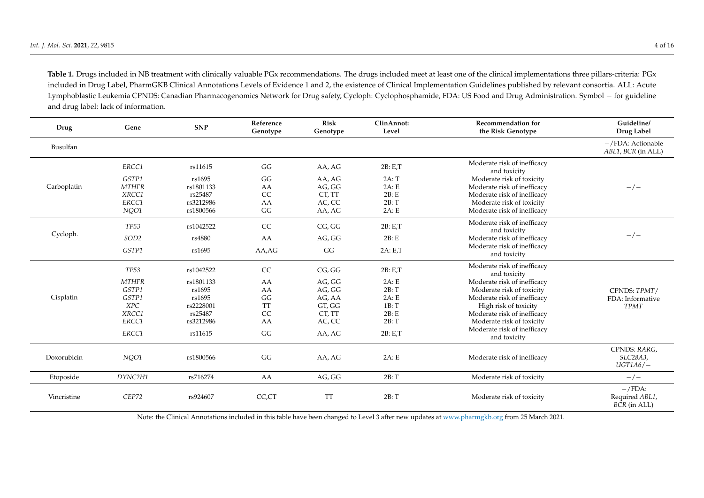**Table 1.** Drugs included in NB treatment with clinically valuable PGx recommendations. The drugs included meet at least one of the clinical implementations three pillars-criteria: PGx included in Drug Label, PharmGKB Clinical Annotations Levels of Evidence 1 and 2, the existence of Clinical Implementation Guidelines published by relevant consortia. ALL: Acute Lymphoblastic Leukemia CPNDS: Canadian Pharmacogenomics Network for Drug safety, Cycloph: Cyclophosphamide, FDA: US Food and Drug Administration. Symbol − for guideline and drug label: lack of information.

<span id="page-3-0"></span>

| Drug        | Gene             | <b>SNP</b> | Reference<br>Genotype | <b>Risk</b><br>Genotype | ClinAnnot:<br>Level | <b>Recommendation for</b><br>the Risk Genotype | Guideline/<br>Drug Label                   |
|-------------|------------------|------------|-----------------------|-------------------------|---------------------|------------------------------------------------|--------------------------------------------|
| Busulfan    |                  |            |                       |                         |                     |                                                | $-/FDA$ : Actionable<br>ABL1, BCR (in ALL) |
|             | ERCC1            | rs11615    | GG                    | AA, AG                  | 2B: E,T             | Moderate risk of inefficacy<br>and toxicity    |                                            |
|             | GSTP1            | rs1695     | GG                    | AA, AG                  | 2A: T               | Moderate risk of toxicity                      |                                            |
| Carboplatin | <b>MTHFR</b>     | rs1801133  | AA                    | AG, GG                  | 2A: E               | Moderate risk of inefficacy                    | $-/-$                                      |
|             | XRCC1            | rs25487    | CC                    | CT, TT                  | 2B: E               | Moderate risk of inefficacy                    |                                            |
|             | ERCC1            | rs3212986  | AA                    | AC, CC                  | 2B: T               | Moderate risk of toxicity                      |                                            |
|             | NQ01             | rs1800566  | GG                    | AA, AG                  | 2A: E               | Moderate risk of inefficacy                    |                                            |
|             | <b>TP53</b>      | rs1042522  | CC                    | CG, GG                  | 2B: E.T             | Moderate risk of inefficacy<br>and toxicity    | $-/-$                                      |
| Cycloph.    | SOD <sub>2</sub> | rs4880     | AA                    | AG, GG                  | 2B: E               | Moderate risk of inefficacy                    |                                            |
|             | GSTP1            | rs1695     | AA,AG                 | GG                      | 2A: E.T             | Moderate risk of inefficacy<br>and toxicity    |                                            |
|             | <b>TP53</b>      | rs1042522  | CC                    | CG, GG                  | 2B: E.T             | Moderate risk of inefficacy<br>and toxicity    |                                            |
|             | <b>MTHFR</b>     | rs1801133  | AA                    | AG, GG                  | 2A: E               | Moderate risk of inefficacy                    |                                            |
| Cisplatin   | GSTP1            | rs1695     | AA                    | AG, GG                  | 2B: T               | Moderate risk of toxicity                      | CPNDS: TPMT/                               |
|             | GSTP1            | rs1695     | GG                    | AG, AA                  | 2A: E               | Moderate risk of inefficacy                    | FDA: Informative                           |
|             | <b>XPC</b>       | rs2228001  | <b>TT</b>             | GT, GG                  | 1B: T               | High risk of toxicity                          | <b>TPMT</b>                                |
|             | XRCC1            | rs25487    | $\rm CC$              | CT, TT                  | 2B: E               | Moderate risk of inefficacy                    |                                            |
|             | ERCC1            | rs3212986  | AA                    | AC, CC                  | 2B: T               | Moderate risk of toxicity                      |                                            |
|             | ERCC1            | rs11615    | GG                    | AA, AG                  | 2B: E.T             | Moderate risk of inefficacy<br>and toxicity    |                                            |
| Doxorubicin | NQ01             | rs1800566  | GG                    | AA, AG                  | 2A: E               | Moderate risk of inefficacy                    | CPNDS: RARG,<br>SLC28A3,<br>$UGT1A6/-$     |
| Etoposide   | DYNC2H1          | rs716274   | AA                    | AG, GG                  | 2B: T               | Moderate risk of toxicity                      | $-\sqrt{-}$                                |
| Vincristine | CEP72            | rs924607   | CC,CT                 | <b>TT</b>               | 2B: T               | Moderate risk of toxicity                      | $-/FDA:$<br>Required ABL1,<br>BCR (in ALL) |

Note: the Clinical Annotations included in this table have been changed to Level 3 after new updates at <www.pharmgkb.org> from 25 March 2021.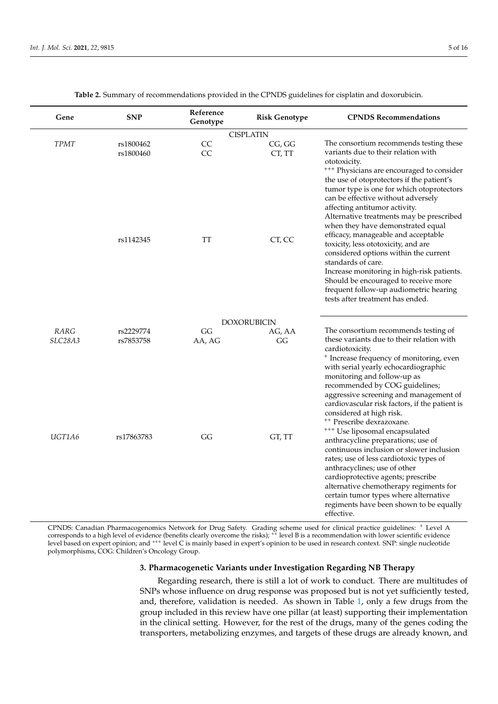<span id="page-4-0"></span>

| Gene             | <b>SNP</b>             | Reference<br>Genotype | <b>Risk Genotype</b> | <b>CPNDS Recommendations</b>                                                                                                                                                                                                                                                                                                                                                                             |  |  |  |  |
|------------------|------------------------|-----------------------|----------------------|----------------------------------------------------------------------------------------------------------------------------------------------------------------------------------------------------------------------------------------------------------------------------------------------------------------------------------------------------------------------------------------------------------|--|--|--|--|
| <b>CISPLATIN</b> |                        |                       |                      |                                                                                                                                                                                                                                                                                                                                                                                                          |  |  |  |  |
| <b>TPMT</b>      | rs1800462<br>rs1800460 | CC<br>CC              | CG, GG<br>CT, TT     | The consortium recommends testing these<br>variants due to their relation with<br>ototoxicity.<br><sup>+++</sup> Physicians are encouraged to consider<br>the use of otoprotectors if the patient's<br>tumor type is one for which otoprotectors<br>can be effective without adversely<br>affecting antitumor activity.<br>Alternative treatments may be prescribed<br>when they have demonstrated equal |  |  |  |  |
|                  | rs1142345              | TT                    | CT, CC               | efficacy, manageable and acceptable<br>toxicity, less ototoxicity, and are<br>considered options within the current<br>standards of care.<br>Increase monitoring in high-risk patients.<br>Should be encouraged to receive more<br>frequent follow-up audiometric hearing<br>tests after treatment has ended.                                                                                            |  |  |  |  |
|                  |                        |                       | <b>DOXORUBICIN</b>   |                                                                                                                                                                                                                                                                                                                                                                                                          |  |  |  |  |
| RARG             | rs2229774              | GG                    | AG, AA               | The consortium recommends testing of                                                                                                                                                                                                                                                                                                                                                                     |  |  |  |  |
| SLC28A3          | rs7853758              | AA, AG                | GG                   | these variants due to their relation with<br>cardiotoxicity.<br><sup>+</sup> Increase frequency of monitoring, even<br>with serial yearly echocardiographic<br>monitoring and follow-up as<br>recommended by COG guidelines;<br>aggressive screening and management of<br>cardiovascular risk factors, if the patient is<br>considered at high risk.<br><sup>++</sup> Prescribe dexrazoxane.             |  |  |  |  |
| UGT1A6           | rs17863783             | GG                    | GT, TT               | <sup>+++</sup> Use liposomal encapsulated<br>anthracycline preparations; use of<br>continuous inclusion or slower inclusion<br>rates; use of less cardiotoxic types of<br>anthracyclines; use of other<br>cardioprotective agents; prescribe<br>alternative chemotherapy regiments for<br>certain tumor types where alternative<br>regiments have been shown to be equally<br>effective.                 |  |  |  |  |

**Table 2.** Summary of recommendations provided in the CPNDS guidelines for cisplatin and doxorubicin.

CPNDS: Canadian Pharmacogenomics Network for Drug Safety. Grading scheme used for clinical practice guidelines: <sup>+</sup> Level A corresponds to a high level of evidence (benefits clearly overcome the risks); <sup>++</sup> level B is a recommendation with lower scientific evidence level based on expert opinion; and <sup>+++</sup> level C is mainly based in expert's opinion to be used in research context. SNP: single nucleotide polymorphisms, COG: Children's Oncology Group.

### **3. Pharmacogenetic Variants under Investigation Regarding NB Therapy**

Regarding research, there is still a lot of work to conduct. There are multitudes of SNPs whose influence on drug response was proposed but is not yet sufficiently tested, and, therefore, validation is needed. As shown in Table [1,](#page-3-0) only a few drugs from the group included in this review have one pillar (at least) supporting their implementation in the clinical setting. However, for the rest of the drugs, many of the genes coding the transporters, metabolizing enzymes, and targets of these drugs are already known, and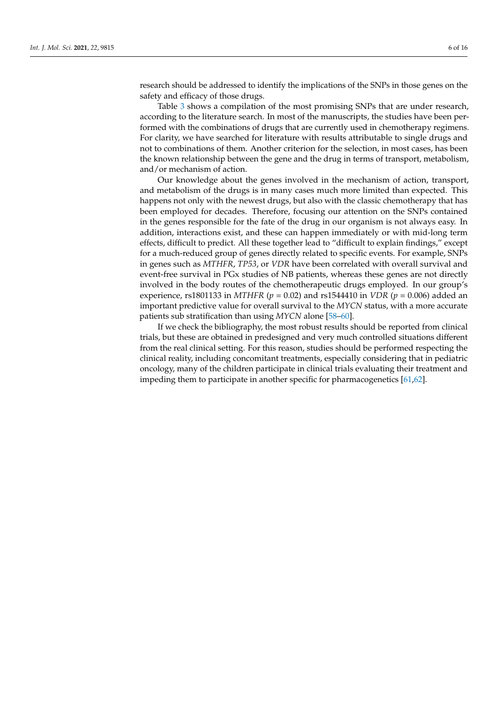research should be addressed to identify the implications of the SNPs in those genes on the safety and efficacy of those drugs.

Table [3](#page-10-0) shows a compilation of the most promising SNPs that are under research, according to the literature search. In most of the manuscripts, the studies have been performed with the combinations of drugs that are currently used in chemotherapy regimens. For clarity, we have searched for literature with results attributable to single drugs and not to combinations of them. Another criterion for the selection, in most cases, has been the known relationship between the gene and the drug in terms of transport, metabolism, and/or mechanism of action.

Our knowledge about the genes involved in the mechanism of action, transport, and metabolism of the drugs is in many cases much more limited than expected. This happens not only with the newest drugs, but also with the classic chemotherapy that has been employed for decades. Therefore, focusing our attention on the SNPs contained in the genes responsible for the fate of the drug in our organism is not always easy. In addition, interactions exist, and these can happen immediately or with mid-long term effects, difficult to predict. All these together lead to "difficult to explain findings," except for a much-reduced group of genes directly related to specific events. For example, SNPs in genes such as *MTHFR*, *TP53*, or *VDR* have been correlated with overall survival and event-free survival in PGx studies of NB patients, whereas these genes are not directly involved in the body routes of the chemotherapeutic drugs employed. In our group's experience, rs1801133 in *MTHFR* (*p* = 0.02) and rs1544410 in *VDR* (*p* = 0.006) added an important predictive value for overall survival to the *MYCN* status, with a more accurate patients sub stratification than using *MYCN* alone [\[58–](#page-14-0)[60\]](#page-14-1).

If we check the bibliography, the most robust results should be reported from clinical trials, but these are obtained in predesigned and very much controlled situations different from the real clinical setting. For this reason, studies should be performed respecting the clinical reality, including concomitant treatments, especially considering that in pediatric oncology, many of the children participate in clinical trials evaluating their treatment and impeding them to participate in another specific for pharmacogenetics [\[61,](#page-15-0)[62\]](#page-15-1).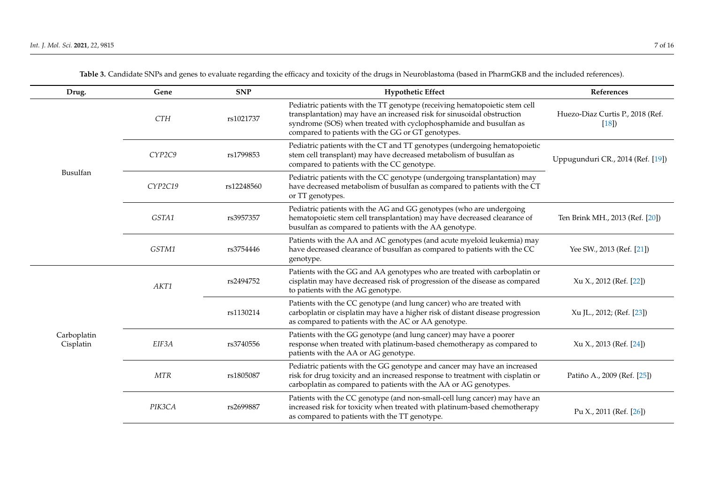| Drug.                    | Gene       | <b>SNP</b> | <b>Hypothetic Effect</b>                                                                                                                                                                                                                                                       | References                                 |
|--------------------------|------------|------------|--------------------------------------------------------------------------------------------------------------------------------------------------------------------------------------------------------------------------------------------------------------------------------|--------------------------------------------|
|                          | <b>CTH</b> | rs1021737  | Pediatric patients with the TT genotype (receiving hematopoietic stem cell<br>transplantation) may have an increased risk for sinusoidal obstruction<br>syndrome (SOS) when treated with cyclophosphamide and busulfan as<br>compared to patients with the GG or GT genotypes. | Huezo-Diaz Curtis P., 2018 (Ref.<br>$[18]$ |
|                          | CYP2C9     | rs1799853  | Pediatric patients with the CT and TT genotypes (undergoing hematopoietic<br>stem cell transplant) may have decreased metabolism of busulfan as<br>compared to patients with the CC genotype.                                                                                  | Uppugunduri CR., 2014 (Ref. [19])          |
| Busulfan                 | CYP2C19    | rs12248560 | Pediatric patients with the CC genotype (undergoing transplantation) may<br>have decreased metabolism of busulfan as compared to patients with the CT<br>or TT genotypes.                                                                                                      |                                            |
|                          | GSTA1      | rs3957357  | Pediatric patients with the AG and GG genotypes (who are undergoing<br>hematopoietic stem cell transplantation) may have decreased clearance of<br>busulfan as compared to patients with the AA genotype.                                                                      | Ten Brink MH., 2013 (Ref. [20])            |
|                          | GSTM1      | rs3754446  | Patients with the AA and AC genotypes (and acute myeloid leukemia) may<br>have decreased clearance of busulfan as compared to patients with the CC<br>genotype.                                                                                                                | Yee SW., 2013 (Ref. [21])                  |
|                          | AKT1       | rs2494752  | Patients with the GG and AA genotypes who are treated with carboplatin or<br>cisplatin may have decreased risk of progression of the disease as compared<br>to patients with the AG genotype.                                                                                  | Xu X., 2012 (Ref. [22])                    |
|                          |            | rs1130214  | Patients with the CC genotype (and lung cancer) who are treated with<br>carboplatin or cisplatin may have a higher risk of distant disease progression<br>as compared to patients with the AC or AA genotype.                                                                  | Xu JL., 2012; (Ref. [23])                  |
| Carboplatin<br>Cisplatin | EIF3A      | rs3740556  | Patients with the GG genotype (and lung cancer) may have a poorer<br>response when treated with platinum-based chemotherapy as compared to<br>patients with the AA or AG genotype.                                                                                             | Xu X., 2013 (Ref. [24])                    |
|                          | <b>MTR</b> | rs1805087  | Pediatric patients with the GG genotype and cancer may have an increased<br>risk for drug toxicity and an increased response to treatment with cisplatin or<br>carboplatin as compared to patients with the AA or AG genotypes.                                                | Patiño A., 2009 (Ref. [25])                |
|                          | PIK3CA     | rs2699887  | Patients with the CC genotype (and non-small-cell lung cancer) may have an<br>increased risk for toxicity when treated with platinum-based chemotherapy<br>as compared to patients with the TT genotype.                                                                       | Pu X., 2011 (Ref. [26])                    |

**Table 3.** Candidate SNPs and genes to evaluate regarding the efficacy and toxicity of the drugs in Neuroblastoma (based in PharmGKB and the included references).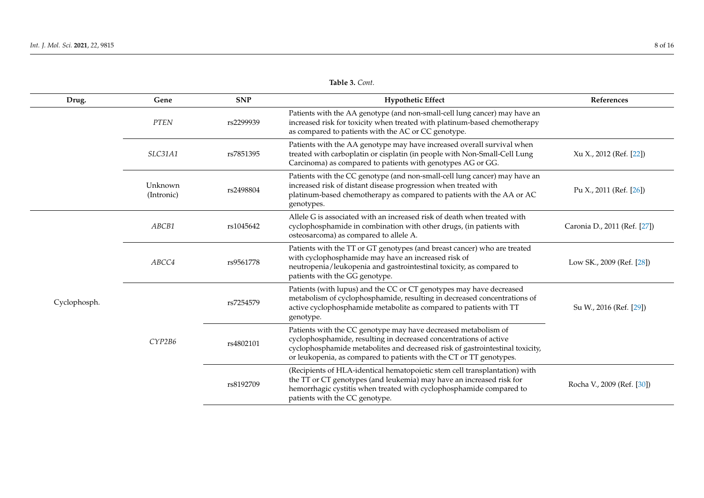| Drug.        | Gene                  | <b>SNP</b> | <b>Hypothetic Effect</b>                                                                                                                                                                                                                                                                    | References                   |
|--------------|-----------------------|------------|---------------------------------------------------------------------------------------------------------------------------------------------------------------------------------------------------------------------------------------------------------------------------------------------|------------------------------|
|              | ${\cal P}T{\cal E}N$  | rs2299939  | Patients with the AA genotype (and non-small-cell lung cancer) may have an<br>increased risk for toxicity when treated with platinum-based chemotherapy<br>as compared to patients with the AC or CC genotype.                                                                              |                              |
|              | SLC31A1               | rs7851395  | Patients with the AA genotype may have increased overall survival when<br>treated with carboplatin or cisplatin (in people with Non-Small-Cell Lung<br>Carcinoma) as compared to patients with genotypes AG or GG.                                                                          | Xu X., 2012 (Ref. [22])      |
|              | Unknown<br>(Intronic) | rs2498804  | Patients with the CC genotype (and non-small-cell lung cancer) may have an<br>increased risk of distant disease progression when treated with<br>platinum-based chemotherapy as compared to patients with the AA or AC<br>genotypes.                                                        | Pu X., 2011 (Ref. [26])      |
|              | ABCB1                 | rs1045642  | Allele G is associated with an increased risk of death when treated with<br>cyclophosphamide in combination with other drugs, (in patients with<br>osteosarcoma) as compared to allele A.                                                                                                   | Caronia D., 2011 (Ref. [27]) |
|              | ABCC4                 | rs9561778  | Patients with the TT or GT genotypes (and breast cancer) who are treated<br>with cyclophosphamide may have an increased risk of<br>neutropenia/leukopenia and gastrointestinal toxicity, as compared to<br>patients with the GG genotype.                                                   | Low SK., 2009 (Ref. [28])    |
| Cyclophosph. | CYP2B6                | rs7254579  | Patients (with lupus) and the CC or CT genotypes may have decreased<br>metabolism of cyclophosphamide, resulting in decreased concentrations of<br>active cyclophosphamide metabolite as compared to patients with TT<br>genotype.                                                          | Su W., 2016 (Ref. [29])      |
|              |                       | rs4802101  | Patients with the CC genotype may have decreased metabolism of<br>cyclophosphamide, resulting in decreased concentrations of active<br>cyclophosphamide metabolites and decreased risk of gastrointestinal toxicity,<br>or leukopenia, as compared to patients with the CT or TT genotypes. |                              |
|              |                       | rs8192709  | (Recipients of HLA-identical hematopoietic stem cell transplantation) with<br>the TT or CT genotypes (and leukemia) may have an increased risk for<br>hemorrhagic cystitis when treated with cyclophosphamide compared to<br>patients with the CC genotype.                                 | Rocha V., 2009 (Ref. [30])   |

## **Table 3.** *Cont.*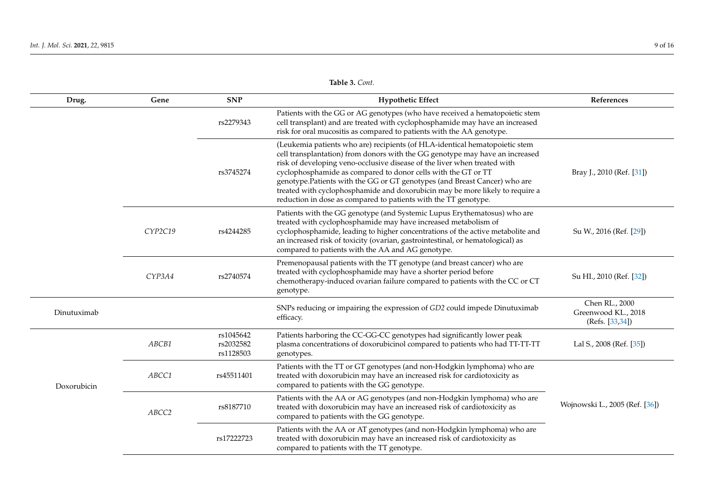Doxorubicin

*ABCC2* rs8187710

rs17222723

| Drug.       | Gene    | <b>SNP</b>                          | <b>Hypothetic Effect</b>                                                                                                                                                                                                                                                                                                                                                                                                                                                                                                                   | References                                               |
|-------------|---------|-------------------------------------|--------------------------------------------------------------------------------------------------------------------------------------------------------------------------------------------------------------------------------------------------------------------------------------------------------------------------------------------------------------------------------------------------------------------------------------------------------------------------------------------------------------------------------------------|----------------------------------------------------------|
|             |         | rs2279343                           | Patients with the GG or AG genotypes (who have received a hematopoietic stem<br>cell transplant) and are treated with cyclophosphamide may have an increased<br>risk for oral mucositis as compared to patients with the AA genotype.                                                                                                                                                                                                                                                                                                      |                                                          |
|             |         | rs3745274                           | (Leukemia patients who are) recipients (of HLA-identical hematopoietic stem<br>cell transplantation) from donors with the GG genotype may have an increased<br>risk of developing veno-occlusive disease of the liver when treated with<br>cyclophosphamide as compared to donor cells with the GT or TT<br>genotype. Patients with the GG or GT genotypes (and Breast Cancer) who are<br>treated with cyclophosphamide and doxorubicin may be more likely to require a<br>reduction in dose as compared to patients with the TT genotype. | Bray J., 2010 (Ref. [31])                                |
|             | CYP2C19 | rs4244285                           | Patients with the GG genotype (and Systemic Lupus Erythematosus) who are<br>treated with cyclophosphamide may have increased metabolism of<br>cyclophosphamide, leading to higher concentrations of the active metabolite and<br>an increased risk of toxicity (ovarian, gastrointestinal, or hematological) as<br>compared to patients with the AA and AG genotype.                                                                                                                                                                       | Su W., 2016 (Ref. [29])                                  |
|             | CYP3A4  | rs2740574                           | Premenopausal patients with the TT genotype (and breast cancer) who are<br>treated with cyclophosphamide may have a shorter period before<br>chemotherapy-induced ovarian failure compared to patients with the CC or CT<br>genotype.                                                                                                                                                                                                                                                                                                      | Su HI., 2010 (Ref. [32])                                 |
| Dinutuximab |         |                                     | SNPs reducing or impairing the expression of GD2 could impede Dinutuximab<br>efficacy.                                                                                                                                                                                                                                                                                                                                                                                                                                                     | Chen RL., 2000<br>Greenwood KL., 2018<br>(Refs. [33,34]) |
|             | ABCB1   | rs1045642<br>rs2032582<br>rs1128503 | Patients harboring the CC-GG-CC genotypes had significantly lower peak<br>plasma concentrations of doxorubicinol compared to patients who had TT-TT-TT<br>genotypes.                                                                                                                                                                                                                                                                                                                                                                       | Lal S., 2008 (Ref. [35])                                 |
|             | ABCC1   | rs45511401                          | Patients with the TT or GT genotypes (and non-Hodgkin lymphoma) who are<br>treated with doxorubicin may have an increased risk for cardiotoxicity as                                                                                                                                                                                                                                                                                                                                                                                       |                                                          |

Patients with the AA or AG genotypes (and non-Hodgkin lymphoma) who are treated with doxorubicin may have an increased risk of cardiotoxicity as

Patients with the AA or AT genotypes (and non-Hodgkin lymphoma) who are treated with doxorubicin may have an increased risk of cardiotoxicity as

**Table 3.** *Cont.*

compared to patients with the GG genotype.

compared to patients with the GG genotype.

compared to patients with the TT genotype.

Wojnowski L., 2005 (Ref. [\[36\]](#page-13-18))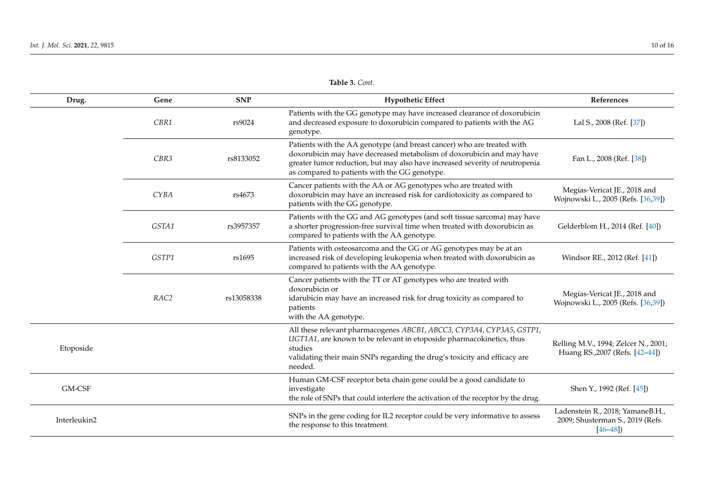| Drug.        | Gene             | <b>SNP</b> | <b>Hypothetic Effect</b>                                                                                                                                                                                                                                                         | References                                                                          |
|--------------|------------------|------------|----------------------------------------------------------------------------------------------------------------------------------------------------------------------------------------------------------------------------------------------------------------------------------|-------------------------------------------------------------------------------------|
|              | CBR1             | rs9024     | Patients with the GG genotype may have increased clearance of doxorubicin<br>and decreased exposure to doxorubicin compared to patients with the AG<br>genotype.                                                                                                                 | Lal S., 2008 (Ref. [37])                                                            |
|              | CBR3             | rs8133052  | Patients with the AA genotype (and breast cancer) who are treated with<br>doxorubicin may have decreased metabolism of doxorubicin and may have<br>greater tumor reduction, but may also have increased severity of neutropenia<br>as compared to patients with the GG genotype. | Fan L., 2008 (Ref. [38])                                                            |
|              | <b>CYBA</b>      | rs4673     | Cancer patients with the AA or AG genotypes who are treated with<br>doxorubicin may have an increased risk for cardiotoxicity as compared to<br>patients with the GG genotype.                                                                                                   | Megías-Vericat JE., 2018 and<br>Wojnowski L., 2005 (Refs. [36,39])                  |
|              | GSTA1            | rs3957357  | Patients with the GG and AG genotypes (and soft tissue sarcoma) may have<br>a shorter progression-free survival time when treated with doxorubicin as<br>compared to patients with the AA genotype.                                                                              | Gelderblom H., 2014 (Ref. [40])                                                     |
|              | GSTP1            | rs1695     | Patients with osteosarcoma and the GG or AG genotypes may be at an<br>increased risk of developing leukopenia when treated with doxorubicin as<br>compared to patients with the AA genotype.                                                                                     | Windsor RE., 2012 (Ref. [41])                                                       |
|              | RAC <sub>2</sub> | rs13058338 | Cancer patients with the TT or AT genotypes who are treated with<br>doxorubicin or<br>idarubicin may have an increased risk for drug toxicity as compared to<br>patients<br>with the AA genotype.                                                                                | Megías-Vericat JE., 2018 and<br>Wojnowski L., 2005 (Refs. [36,39])                  |
| Etoposide    |                  |            | All these relevant pharmacogenes ABCB1, ABCC3, CYP3A4, CYP3A5, GSTP1,<br>UGT1A1, are known to be relevant in etoposide pharmacokinetics, thus<br>studies<br>validating their main SNPs regarding the drug's toxicity and efficacy are<br>needed.                                 | Relling M.V., 1994; Zelcer N., 2001;<br>Huang RS., 2007 (Refs. [42-44])             |
| GM-CSF       |                  |            | Human GM-CSF receptor beta chain gene could be a good candidate to<br>investigate<br>the role of SNPs that could interfere the activation of the receptor by the drug.                                                                                                           | Shen Y., 1992 (Ref. [45])                                                           |
| Interleukin2 |                  |            | SNPs in the gene coding for IL2 receptor could be very informative to assess<br>the response to this treatment.                                                                                                                                                                  | Ladenstein R., 2018; YamaneB.H.,<br>2009; Shusterman S., 2019 (Refs.<br>$[46 - 48]$ |

**Table 3.** *Cont.*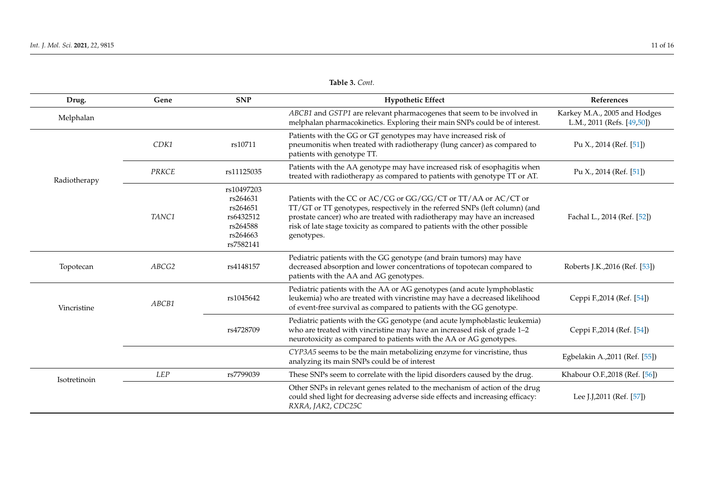<span id="page-10-0"></span>

| Drug.        | Gene         | <b>SNP</b>                                                                           | <b>Hypothetic Effect</b>                                                                                                                                                                                                                                                                                               | References                                                 |
|--------------|--------------|--------------------------------------------------------------------------------------|------------------------------------------------------------------------------------------------------------------------------------------------------------------------------------------------------------------------------------------------------------------------------------------------------------------------|------------------------------------------------------------|
| Melphalan    |              |                                                                                      | ABCB1 and GSTP1 are relevant pharmacogenes that seem to be involved in<br>melphalan pharmacokinetics. Exploring their main SNPs could be of interest.                                                                                                                                                                  | Karkey M.A., 2005 and Hodges<br>L.M., 2011 (Refs. [49,50]) |
|              | CDK1         | rs10711                                                                              | Patients with the GG or GT genotypes may have increased risk of<br>pneumonitis when treated with radiotherapy (lung cancer) as compared to<br>patients with genotype TT.                                                                                                                                               | Pu X., 2014 (Ref. $[51]$ )                                 |
| Radiotherapy | <b>PRKCE</b> | rs11125035                                                                           | Patients with the AA genotype may have increased risk of esophagitis when<br>treated with radiotherapy as compared to patients with genotype TT or AT.                                                                                                                                                                 | Pu X., 2014 (Ref. [51])                                    |
|              | TANC1        | rs10497203<br>rs264631<br>rs264651<br>rs6432512<br>rs264588<br>rs264663<br>rs7582141 | Patients with the CC or AC/CG or GG/GG/CT or TT/AA or AC/CT or<br>TT/GT or TT genotypes, respectively in the referred SNPs (left column) (and<br>prostate cancer) who are treated with radiotherapy may have an increased<br>risk of late stage toxicity as compared to patients with the other possible<br>genotypes. | Fachal L., 2014 (Ref. [52])                                |
| Topotecan    | ABCG2        | rs4148157                                                                            | Pediatric patients with the GG genotype (and brain tumors) may have<br>decreased absorption and lower concentrations of topotecan compared to<br>patients with the AA and AG genotypes.                                                                                                                                | Roberts J.K., 2016 (Ref. [53])                             |
| Vincristine  | ABCB1        | rs1045642                                                                            | Pediatric patients with the AA or AG genotypes (and acute lymphoblastic<br>leukemia) who are treated with vincristine may have a decreased likelihood<br>of event-free survival as compared to patients with the GG genotype.                                                                                          | Ceppi F., 2014 (Ref. [54])                                 |
|              |              | rs4728709                                                                            | Pediatric patients with the GG genotype (and acute lymphoblastic leukemia)<br>who are treated with vincristine may have an increased risk of grade 1-2<br>neurotoxicity as compared to patients with the AA or AG genotypes.                                                                                           | Ceppi F., 2014 (Ref. [54])                                 |
|              |              |                                                                                      | CYP3A5 seems to be the main metabolizing enzyme for vincristine, thus<br>analyzing its main SNPs could be of interest                                                                                                                                                                                                  | Egbelakin A., 2011 (Ref. [55])                             |
| Isotretinoin | <b>LEP</b>   | rs7799039                                                                            | These SNPs seem to correlate with the lipid disorders caused by the drug.                                                                                                                                                                                                                                              | Khabour O.F., 2018 (Ref. [56])                             |
|              |              |                                                                                      | Other SNPs in relevant genes related to the mechanism of action of the drug<br>could shed light for decreasing adverse side effects and increasing efficacy:<br>RXRA, JAK2, CDC25C                                                                                                                                     | Lee J.J.2011 (Ref. [57])                                   |

**Table 3.** *Cont.*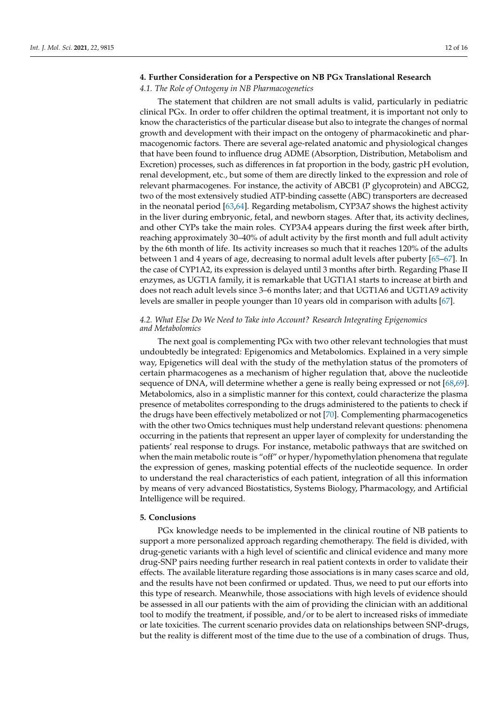## **4. Further Consideration for a Perspective on NB PGx Translational Research**

## *4.1. The Role of Ontogeny in NB Pharmacogenetics*

The statement that children are not small adults is valid, particularly in pediatric clinical PGx. In order to offer children the optimal treatment, it is important not only to know the characteristics of the particular disease but also to integrate the changes of normal growth and development with their impact on the ontogeny of pharmacokinetic and pharmacogenomic factors. There are several age-related anatomic and physiological changes that have been found to influence drug ADME (Absorption, Distribution, Metabolism and Excretion) processes, such as differences in fat proportion in the body, gastric pH evolution, renal development, etc., but some of them are directly linked to the expression and role of relevant pharmacogenes. For instance, the activity of ABCB1 (P glycoprotein) and ABCG2, two of the most extensively studied ATP-binding cassette (ABC) transporters are decreased in the neonatal period [\[63,](#page-15-2)[64\]](#page-15-3). Regarding metabolism, CYP3A7 shows the highest activity in the liver during embryonic, fetal, and newborn stages. After that, its activity declines, and other CYPs take the main roles. CYP3A4 appears during the first week after birth, reaching approximately 30–40% of adult activity by the first month and full adult activity by the 6th month of life. Its activity increases so much that it reaches 120% of the adults between 1 and 4 years of age, decreasing to normal adult levels after puberty [\[65–](#page-15-4)[67\]](#page-15-5). In the case of CYP1A2, its expression is delayed until 3 months after birth. Regarding Phase II enzymes, as UGT1A family, it is remarkable that UGT1A1 starts to increase at birth and does not reach adult levels since 3–6 months later; and that UGT1A6 and UGT1A9 activity levels are smaller in people younger than 10 years old in comparison with adults [\[67\]](#page-15-5).

## *4.2. What Else Do We Need to Take into Account? Research Integrating Epigenomics and Metabolomics*

The next goal is complementing PGx with two other relevant technologies that must undoubtedly be integrated: Epigenomics and Metabolomics. Explained in a very simple way, Epigenetics will deal with the study of the methylation status of the promoters of certain pharmacogenes as a mechanism of higher regulation that, above the nucleotide sequence of DNA, will determine whether a gene is really being expressed or not [\[68,](#page-15-6)[69\]](#page-15-7). Metabolomics, also in a simplistic manner for this context, could characterize the plasma presence of metabolites corresponding to the drugs administered to the patients to check if the drugs have been effectively metabolized or not [\[70\]](#page-15-8). Complementing pharmacogenetics with the other two Omics techniques must help understand relevant questions: phenomena occurring in the patients that represent an upper layer of complexity for understanding the patients' real response to drugs. For instance, metabolic pathways that are switched on when the main metabolic route is "off" or hyper/hypomethylation phenomena that regulate the expression of genes, masking potential effects of the nucleotide sequence. In order to understand the real characteristics of each patient, integration of all this information by means of very advanced Biostatistics, Systems Biology, Pharmacology, and Artificial Intelligence will be required.

#### **5. Conclusions**

PGx knowledge needs to be implemented in the clinical routine of NB patients to support a more personalized approach regarding chemotherapy. The field is divided, with drug-genetic variants with a high level of scientific and clinical evidence and many more drug-SNP pairs needing further research in real patient contexts in order to validate their effects. The available literature regarding those associations is in many cases scarce and old, and the results have not been confirmed or updated. Thus, we need to put our efforts into this type of research. Meanwhile, those associations with high levels of evidence should be assessed in all our patients with the aim of providing the clinician with an additional tool to modify the treatment, if possible, and/or to be alert to increased risks of immediate or late toxicities. The current scenario provides data on relationships between SNP-drugs, but the reality is different most of the time due to the use of a combination of drugs. Thus,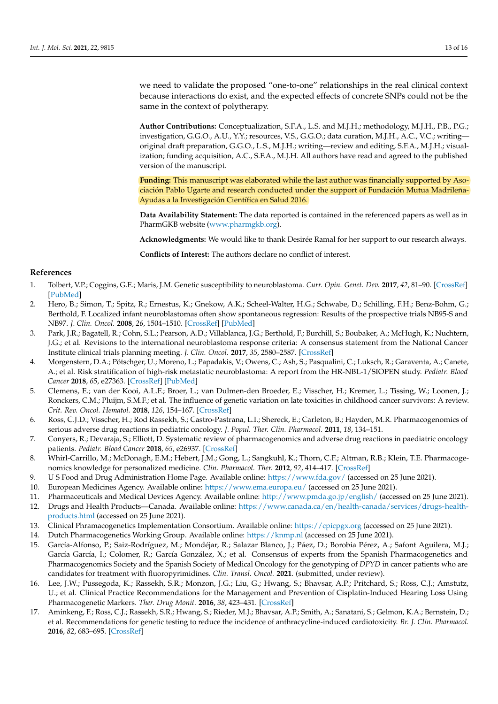we need to validate the proposed "one-to-one" relationships in the real clinical context because interactions do exist, and the expected effects of concrete SNPs could not be the same in the context of polytherapy.

**Author Contributions:** Conceptualization, S.F.A., L.S. and M.J.H.; methodology, M.J.H., P.B., P.G.; investigation, G.G.O., A.U., Y.Y.; resources, V.S., G.G.O.; data curation, M.J.H., A.C., V.C.; writing original draft preparation, G.G.O., L.S., M.J.H.; writing—review and editing, S.F.A., M.J.H.; visualization; funding acquisition, A.C., S.F.A., M.J.H. All authors have read and agreed to the published version of the manuscript.

**Funding:** This manuscript was elaborated while the last author was financially supported by Asociación Pablo Ugarte and research conducted under the support of Fundación Mutua Madrileña-Ayudas a la Investigación Científica en Salud 2016.

**Data Availability Statement:** The data reported is contained in the referenced papers as well as in PharmGKB website [\(www.pharmgkb.org\)](www.pharmgkb.org).

**Acknowledgments:** We would like to thank Desirée Ramal for her support to our research always.

**Conflicts of Interest:** The authors declare no conflict of interest.

## **References**

- <span id="page-12-0"></span>1. Tolbert, V.P.; Coggins, G.E.; Maris, J.M. Genetic susceptibility to neuroblastoma. *Curr. Opin. Genet. Dev.* **2017**, *42*, 81–90. [\[CrossRef\]](http://doi.org/10.1016/j.gde.2017.03.008) [\[PubMed\]](http://www.ncbi.nlm.nih.gov/pubmed/28458126)
- <span id="page-12-1"></span>2. Hero, B.; Simon, T.; Spitz, R.; Ernestus, K.; Gnekow, A.K.; Scheel-Walter, H.G.; Schwabe, D.; Schilling, F.H.; Benz-Bohm, G.; Berthold, F. Localized infant neuroblastomas often show spontaneous regression: Results of the prospective trials NB95-S and NB97. *J. Clin. Oncol.* **2008**, *26*, 1504–1510. [\[CrossRef\]](http://doi.org/10.1200/JCO.2007.12.3349) [\[PubMed\]](http://www.ncbi.nlm.nih.gov/pubmed/18349403)
- <span id="page-12-2"></span>3. Park, J.R.; Bagatell, R.; Cohn, S.L.; Pearson, A.D.; Villablanca, J.G.; Berthold, F.; Burchill, S.; Boubaker, A.; McHugh, K.; Nuchtern, J.G.; et al. Revisions to the international neuroblastoma response criteria: A consensus statement from the National Cancer Institute clinical trials planning meeting. *J. Clin. Oncol.* **2017**, *35*, 2580–2587. [\[CrossRef\]](http://doi.org/10.1200/JCO.2016.72.0177)
- <span id="page-12-3"></span>4. Morgenstern, D.A.; Pötschger, U.; Moreno, L.; Papadakis, V.; Owens, C.; Ash, S.; Pasqualini, C.; Luksch, R.; Garaventa, A.; Canete, A.; et al. Risk stratification of high-risk metastatic neuroblastoma: A report from the HR-NBL-1/SIOPEN study. *Pediatr. Blood Cancer* **2018**, *65*, e27363. [\[CrossRef\]](http://doi.org/10.1002/pbc.27363) [\[PubMed\]](http://www.ncbi.nlm.nih.gov/pubmed/30015396)
- <span id="page-12-4"></span>5. Clemens, E.; van der Kooi, A.L.F.; Broer, L.; van Dulmen-den Broeder, E.; Visscher, H.; Kremer, L.; Tissing, W.; Loonen, J.; Ronckers, C.M.; Pluijm, S.M.F.; et al. The influence of genetic variation on late toxicities in childhood cancer survivors: A review. *Crit. Rev. Oncol. Hematol.* **2018**, *126*, 154–167. [\[CrossRef\]](http://doi.org/10.1016/j.critrevonc.2018.04.001)
- <span id="page-12-5"></span>6. Ross, C.J.D.; Visscher, H.; Rod Rassekh, S.; Castro-Pastrana, L.I.; Shereck, E.; Carleton, B.; Hayden, M.R. Pharmacogenomics of serious adverse drug reactions in pediatric oncology. *J. Popul. Ther. Clin. Pharmacol.* **2011**, *18*, 134–151.
- <span id="page-12-6"></span>7. Conyers, R.; Devaraja, S.; Elliott, D. Systematic review of pharmacogenomics and adverse drug reactions in paediatric oncology patients. *Pediatr. Blood Cancer* **2018**, *65*, e26937. [\[CrossRef\]](http://doi.org/10.1002/pbc.26937)
- <span id="page-12-7"></span>8. Whirl-Carrillo, M.; McDonagh, E.M.; Hebert, J.M.; Gong, L.; Sangkuhl, K.; Thorn, C.F.; Altman, R.B.; Klein, T.E. Pharmacogenomics knowledge for personalized medicine. *Clin. Pharmacol. Ther.* **2012**, *92*, 414–417. [\[CrossRef\]](http://doi.org/10.1038/clpt.2012.96)
- <span id="page-12-8"></span>9. U S Food and Drug Administration Home Page. Available online: <https://www.fda.gov/> (accessed on 25 June 2021).
- 10. European Medicines Agency. Available online: <https://www.ema.europa.eu/> (accessed on 25 June 2021).
- 11. Pharmaceuticals and Medical Devices Agency. Available online: <http://www.pmda.go.jp/english/> (accessed on 25 June 2021).
- <span id="page-12-9"></span>12. Drugs and Health Products—Canada. Available online: [https://www.canada.ca/en/health-canada/services/drugs-health](https://www.canada.ca/en/health-canada/services/drugs-health-products.html)[products.html](https://www.canada.ca/en/health-canada/services/drugs-health-products.html) (accessed on 25 June 2021).
- <span id="page-12-10"></span>13. Clinical Phramacogenetics Implementation Consortium. Available online: <https://cpicpgx.org> (accessed on 25 June 2021).
- <span id="page-12-11"></span>14. Dutch Pharmacogenetics Working Group. Available online: <https://knmp.nl> (accessed on 25 June 2021).
- <span id="page-12-12"></span>15. García-Alfonso, P.; Saiz-Rodríguez, M.; Mondéjar, R.; Salazar Blanco, J.; Páez, D.; Borobia Pérez, A.; Safont Aguilera, M.J.; García García, I.; Colomer, R.; García González, X.; et al. Consensus of experts from the Spanish Pharmacogenetics and Pharmacogenomics Society and the Spanish Society of Medical Oncology for the genotyping of *DPYD* in cancer patients who are candidates for treatment with fluoropyrimidines. *Clin. Transl. Oncol.* **2021**. (submitted, under review).
- <span id="page-12-13"></span>16. Lee, J.W.; Pussegoda, K.; Rassekh, S.R.; Monzon, J.G.; Liu, G.; Hwang, S.; Bhavsar, A.P.; Pritchard, S.; Ross, C.J.; Amstutz, U.; et al. Clinical Practice Recommendations for the Management and Prevention of Cisplatin-Induced Hearing Loss Using Pharmacogenetic Markers. *Ther. Drug Monit.* **2016**, *38*, 423–431. [\[CrossRef\]](http://doi.org/10.1097/FTD.0000000000000298)
- <span id="page-12-14"></span>17. Aminkeng, F.; Ross, C.J.; Rassekh, S.R.; Hwang, S.; Rieder, M.J.; Bhavsar, A.P.; Smith, A.; Sanatani, S.; Gelmon, K.A.; Bernstein, D.; et al. Recommendations for genetic testing to reduce the incidence of anthracycline-induced cardiotoxicity. *Br. J. Clin. Pharmacol.* **2016**, *82*, 683–695. [\[CrossRef\]](http://doi.org/10.1111/bcp.13008)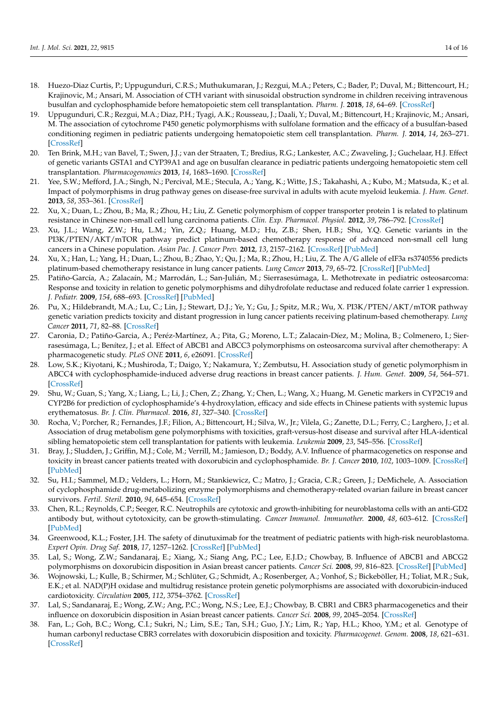- <span id="page-13-8"></span><span id="page-13-7"></span><span id="page-13-6"></span><span id="page-13-5"></span><span id="page-13-4"></span><span id="page-13-3"></span><span id="page-13-2"></span><span id="page-13-1"></span><span id="page-13-0"></span>18. Huezo-Diaz Curtis, P.; Uppugunduri, C.R.S.; Muthukumaran, J.; Rezgui, M.A.; Peters, C.; Bader, P.; Duval, M.; Bittencourt, H.; Krajinovic, M.; Ansari, M. Association of CTH variant with sinusoidal obstruction syndrome in children receiving intravenous busulfan and cyclophosphamide before hematopoietic stem cell transplantation. *Pharm. J.* **2018**, *18*, 64–69. [\[CrossRef\]](http://doi.org/10.1038/tpj.2016.65)
- <span id="page-13-9"></span>19. Uppugunduri, C.R.; Rezgui, M.A.; Diaz, P.H.; Tyagi, A.K.; Rousseau, J.; Daali, Y.; Duval, M.; Bittencourt, H.; Krajinovic, M.; Ansari, M. The association of cytochrome P450 genetic polymorphisms with sulfolane formation and the efficacy of a busulfan-based conditioning regimen in pediatric patients undergoing hematopoietic stem cell transplantation. *Pharm. J.* **2014**, *14*, 263–271. [\[CrossRef\]](http://doi.org/10.1038/tpj.2013.38)
- <span id="page-13-10"></span>20. Ten Brink, M.H.; van Bavel, T.; Swen, J.J.; van der Straaten, T.; Bredius, R.G.; Lankester, A.C.; Zwaveling, J.; Guchelaar, H.J. Effect of genetic variants GSTA1 and CYP39A1 and age on busulfan clearance in pediatric patients undergoing hematopoietic stem cell transplantation. *Pharmacogenomics* **2013**, *14*, 1683–1690. [\[CrossRef\]](http://doi.org/10.2217/pgs.13.159)
- <span id="page-13-11"></span>21. Yee, S.W.; Mefford, J.A.; Singh, N.; Percival, M.E.; Stecula, A.; Yang, K.; Witte, J.S.; Takahashi, A.; Kubo, M.; Matsuda, K.; et al. Impact of polymorphisms in drug pathway genes on disease-free survival in adults with acute myeloid leukemia. *J. Hum. Genet.* **2013**, *58*, 353–361. [\[CrossRef\]](http://doi.org/10.1038/jhg.2013.38)
- <span id="page-13-12"></span>22. Xu, X.; Duan, L.; Zhou, B.; Ma, R.; Zhou, H.; Liu, Z. Genetic polymorphism of copper transporter protein 1 is related to platinum resistance in Chinese non-small cell lung carcinoma patients. *Clin. Exp. Pharmacol. Physiol.* **2012**, *39*, 786–792. [\[CrossRef\]](http://doi.org/10.1111/j.1440-1681.2012.05741.x)
- <span id="page-13-13"></span>23. Xu, J.L.; Wang, Z.W.; Hu, L.M.; Yin, Z.Q.; Huang, M.D.; Hu, Z.B.; Shen, H.B.; Shu, Y.Q. Genetic variants in the PI3K/PTEN/AKT/mTOR pathway predict platinum-based chemotherapy response of advanced non-small cell lung cancers in a Chinese population. *Asian Pac. J. Cancer Prev.* **2012**, *13*, 2157–2162. [\[CrossRef\]](http://doi.org/10.7314/APJCP.2012.13.5.2157) [\[PubMed\]](http://www.ncbi.nlm.nih.gov/pubmed/22901187)
- 24. Xu, X.; Han, L.; Yang, H.; Duan, L.; Zhou, B.; Zhao, Y.; Qu, J.; Ma, R.; Zhou, H.; Liu, Z. The A/G allele of eIF3a rs3740556 predicts platinum-based chemotherapy resistance in lung cancer patients. *Lung Cancer* **2013**, *79*, 65–72. [\[CrossRef\]](http://doi.org/10.1016/j.lungcan.2012.10.005) [\[PubMed\]](http://www.ncbi.nlm.nih.gov/pubmed/23127338)
- <span id="page-13-14"></span>25. Patiño-García, A.; Zalacaín, M.; Marrodán, L.; San-Julián, M.; Sierrasesúmaga, L. Methotrexate in pediatric osteosarcoma: Response and toxicity in relation to genetic polymorphisms and dihydrofolate reductase and reduced folate carrier 1 expression. *J. Pediatr.* **2009**, *154*, 688–693. [\[CrossRef\]](http://doi.org/10.1016/j.jpeds.2008.11.030) [\[PubMed\]](http://www.ncbi.nlm.nih.gov/pubmed/19159907)
- <span id="page-13-15"></span>26. Pu, X.; Hildebrandt, M.A.; Lu, C.; Lin, J.; Stewart, D.J.; Ye, Y.; Gu, J.; Spitz, M.R.; Wu, X. PI3K/PTEN/AKT/mTOR pathway genetic variation predicts toxicity and distant progression in lung cancer patients receiving platinum-based chemotherapy. *Lung Cancer* **2011**, *71*, 82–88. [\[CrossRef\]](http://doi.org/10.1016/j.lungcan.2010.04.008)
- <span id="page-13-17"></span><span id="page-13-16"></span>27. Caronia, D.; Patiño-Garcia, A.; Peréz-Martínez, A.; Pita, G.; Moreno, L.T.; Zalacain-Díez, M.; Molina, B.; Colmenero, I.; Sierrasesúmaga, L.; Benítez, J.; et al. Effect of ABCB1 and ABCC3 polymorphisms on osteosarcoma survival after chemotherapy: A pharmacogenetic study. *PLoS ONE* **2011**, *6*, e26091. [\[CrossRef\]](http://doi.org/10.1371/journal.pone.0026091)
- <span id="page-13-18"></span>28. Low, S.K.; Kiyotani, K.; Mushiroda, T.; Daigo, Y.; Nakamura, Y.; Zembutsu, H. Association study of genetic polymorphism in ABCC4 with cyclophosphamide-induced adverse drug reactions in breast cancer patients. *J. Hum. Genet.* **2009**, *54*, 564–571. [\[CrossRef\]](http://doi.org/10.1038/jhg.2009.79)
- <span id="page-13-19"></span>29. Shu, W.; Guan, S.; Yang, X.; Liang, L.; Li, J.; Chen, Z.; Zhang, Y.; Chen, L.; Wang, X.; Huang, M. Genetic markers in CYP2C19 and CYP2B6 for prediction of cyclophosphamide's 4-hydroxylation, efficacy and side effects in Chinese patients with systemic lupus erythematosus. *Br. J. Clin. Pharmacol.* **2016**, *81*, 327–340. [\[CrossRef\]](http://doi.org/10.1111/bcp.12800)
- <span id="page-13-20"></span>30. Rocha, V.; Porcher, R.; Fernandes, J.F.; Filion, A.; Bittencourt, H.; Silva, W., Jr.; Vilela, G.; Zanette, D.L.; Ferry, C.; Larghero, J.; et al. Association of drug metabolism gene polymorphisms with toxicities, graft-versus-host disease and survival after HLA-identical sibling hematopoietic stem cell transplantation for patients with leukemia. *Leukemia* **2009**, *23*, 545–556. [\[CrossRef\]](http://doi.org/10.1038/leu.2008.323)
- 31. Bray, J.; Sludden, J.; Griffin, M.J.; Cole, M.; Verrill, M.; Jamieson, D.; Boddy, A.V. Influence of pharmacogenetics on response and toxicity in breast cancer patients treated with doxorubicin and cyclophosphamide. *Br. J. Cancer* **2010**, *102*, 1003–1009. [\[CrossRef\]](http://doi.org/10.1038/sj.bjc.6605587) [\[PubMed\]](http://www.ncbi.nlm.nih.gov/pubmed/20179710)
- 32. Su, H.I.; Sammel, M.D.; Velders, L.; Horn, M.; Stankiewicz, C.; Matro, J.; Gracia, C.R.; Green, J.; DeMichele, A. Association of cyclophosphamide drug-metabolizing enzyme polymorphisms and chemotherapy-related ovarian failure in breast cancer survivors. *Fertil. Steril.* **2010**, *94*, 645–654. [\[CrossRef\]](http://doi.org/10.1016/j.fertnstert.2009.03.034)
- 33. Chen, R.L.; Reynolds, C.P.; Seeger, R.C. Neutrophils are cytotoxic and growth-inhibiting for neuroblastoma cells with an anti-GD2 antibody but, without cytotoxicity, can be growth-stimulating. *Cancer Immunol. Immunother.* **2000**, *48*, 603–612. [\[CrossRef\]](http://doi.org/10.1007/s002620050008) [\[PubMed\]](http://www.ncbi.nlm.nih.gov/pubmed/10663607)
- 34. Greenwood, K.L.; Foster, J.H. The safety of dinutuximab for the treatment of pediatric patients with high-risk neuroblastoma. *Expert Opin. Drug Saf.* **2018**, *17*, 1257–1262. [\[CrossRef\]](http://doi.org/10.1080/14740338.2018.1549221) [\[PubMed\]](http://www.ncbi.nlm.nih.gov/pubmed/30433831)
- 35. Lal, S.; Wong, Z.W.; Sandanaraj, E.; Xiang, X.; Siang Ang, P.C.; Lee, E.J.D.; Chowbay, B. Influence of ABCB1 and ABCG2 polymorphisms on doxorubicin disposition in Asian breast cancer patients. *Cancer Sci.* **2008**, *99*, 816–823. [\[CrossRef\]](http://doi.org/10.1111/j.1349-7006.2008.00744.x) [\[PubMed\]](http://www.ncbi.nlm.nih.gov/pubmed/18377430)
- 36. Wojnowski, L.; Kulle, B.; Schirmer, M.; Schlüter, G.; Schmidt, A.; Rosenberger, A.; Vonhof, S.; Bickeböller, H.; Toliat, M.R.; Suk, E.K.; et al. NAD(P)H oxidase and multidrug resistance protein genetic polymorphisms are associated with doxorubicin-induced cardiotoxicity. *Circulation* **2005**, *112*, 3754–3762. [\[CrossRef\]](http://doi.org/10.1161/CIRCULATIONAHA.105.576850)
- 37. Lal, S.; Sandanaraj, E.; Wong, Z.W.; Ang, P.C.; Wong, N.S.; Lee, E.J.; Chowbay, B. CBR1 and CBR3 pharmacogenetics and their influence on doxorubicin disposition in Asian breast cancer patients. *Cancer Sci.* **2008**, *99*, 2045–2054. [\[CrossRef\]](http://doi.org/10.1111/j.1349-7006.2008.00744.x)
- 38. Fan, L.; Goh, B.C.; Wong, C.I.; Sukri, N.; Lim, S.E.; Tan, S.H.; Guo, J.Y.; Lim, R.; Yap, H.L.; Khoo, Y.M.; et al. Genotype of human carbonyl reductase CBR3 correlates with doxorubicin disposition and toxicity. *Pharmacogenet. Genom.* **2008**, *18*, 621–631. [\[CrossRef\]](http://doi.org/10.1097/FPC.0b013e328301a869)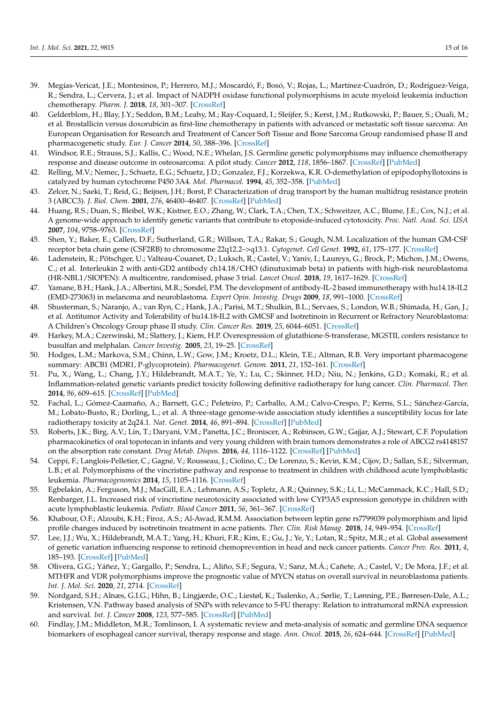- <span id="page-14-9"></span><span id="page-14-8"></span><span id="page-14-7"></span><span id="page-14-6"></span><span id="page-14-5"></span><span id="page-14-4"></span><span id="page-14-3"></span><span id="page-14-2"></span>39. Megías-Vericat, J.E.; Montesinos, P.; Herrero, M.J.; Moscardó, F.; Bosó, V.; Rojas, L.; Martínez-Cuadrón, D.; Rodríguez-Veiga, R.; Sendra, L.; Cervera, J.; et al. Impact of NADPH oxidase functional polymorphisms in acute myeloid leukemia induction chemotherapy. *Pharm. J.* **2018**, *18*, 301–307. [\[CrossRef\]](http://doi.org/10.1038/tpj.2017.19)
- <span id="page-14-10"></span>40. Gelderblom, H.; Blay, J.Y.; Seddon, B.M.; Leahy, M.; Ray-Coquard, I.; Sleijfer, S.; Kerst, J.M.; Rutkowski, P.; Bauer, S.; Ouali, M.; et al. Brostallicin versus doxorubicin as first-line chemotherapy in patients with advanced or metastatic soft tissue sarcoma: An European Organisation for Research and Treatment of Cancer Soft Tissue and Bone Sarcoma Group randomised phase II and pharmacogenetic study. *Eur. J. Cancer* **2014**, *50*, 388–396. [\[CrossRef\]](http://doi.org/10.1016/j.ejca.2013.10.002)
- <span id="page-14-11"></span>41. Windsor, R.E.; Strauss, S.J.; Kallis, C.; Wood, N.E.; Whelan, J.S. Germline genetic polymorphisms may influence chemotherapy response and disease outcome in osteosarcoma: A pilot study. *Cancer* **2012**, *118*, 1856–1867. [\[CrossRef\]](http://doi.org/10.1002/cncr.26472) [\[PubMed\]](http://www.ncbi.nlm.nih.gov/pubmed/21887680)
- <span id="page-14-12"></span>42. Relling, M.V.; Nemec, J.; Schuetz, E.G.; Schuetz, J.D.; Gonzalez, F.J.; Korzekwa, K.R. O-demethylation of epipodophyllotoxins is catalyzed by human cytochrome P450 3A4. *Mol. Pharmacol.* **1994**, *45*, 352–358. [\[PubMed\]](http://www.ncbi.nlm.nih.gov/pubmed/8114683)
- <span id="page-14-13"></span>43. Zelcer, N.; Saeki, T.; Reid, G.; Beijnen, J.H.; Borst, P. Characterization of drug transport by the human multidrug resistance protein 3 (ABCC3). *J. Biol. Chem.* **2001**, *276*, 46400–46407. [\[CrossRef\]](http://doi.org/10.1074/jbc.M107041200) [\[PubMed\]](http://www.ncbi.nlm.nih.gov/pubmed/11581266)
- <span id="page-14-14"></span>Huang, R.S.; Duan, S.; Bleibel, W.K.; Kistner, E.O.; Zhang, W.; Clark, T.A.; Chen, T.X.; Schweitzer, A.C.; Blume, J.E.; Cox, N.J.; et al. A genome-wide approach to identify genetic variants that contribute to etoposide-induced cytotoxicity. *Proc. Natl. Acad. Sci. USA* **2007**, *104*, 9758–9763. [\[CrossRef\]](http://doi.org/10.1073/pnas.0703736104)
- 45. Shen, Y.; Baker, E.; Callen, D.F.; Sutherland, G.R.; Willson, T.A.; Rakar, S.; Gough, N.M. Localization of the human GM-CSF receptor beta chain gene (CSF2RB) to chromosome 22q12.2–>q13.1. *Cytogenet. Cell Genet.* **1992**, *61*, 175–177. [\[CrossRef\]](http://doi.org/10.1159/000133401)
- <span id="page-14-15"></span>46. Ladenstein, R.; Pötschger, U.; Valteau-Couanet, D.; Luksch, R.; Castel, V.; Yaniv, I.; Laureys, G.; Brock, P.; Michon, J.M.; Owens, C.; et al. Interleukin 2 with anti-GD2 antibody ch14.18/CHO (dinutuximab beta) in patients with high-risk neuroblastoma (HR-NBL1/SIOPEN): A multicentre, randomised, phase 3 trial. *Lancet Oncol.* **2018**, *19*, 1617–1629. [\[CrossRef\]](http://doi.org/10.1016/S1470-2045(18)30578-3)
- <span id="page-14-16"></span>47. Yamane, B.H.; Hank, J.A.; Albertini, M.R.; Sondel, P.M. The development of antibody-IL-2 based immunotherapy with hu14.18-IL2 (EMD-273063) in melanoma and neuroblastoma. *Expert Opin. Investig. Drugs* **2009**, *18*, 991–1000. [\[CrossRef\]](http://doi.org/10.1517/13543780903048911)
- <span id="page-14-17"></span>48. Shusterman, S.; Naranjo, A.; van Ryn, C.; Hank, J.A.; Parisi, M.T.; Shulkin, B.L.; Servaes, S.; London, W.B.; Shimada, H.; Gan, J.; et al. Antitumor Activity and Tolerability of hu14.18-IL2 with GMCSF and Isotretinoin in Recurrent or Refractory Neuroblastoma: A Children's Oncology Group phase II study. *Clin. Cancer Res.* **2019**, *25*, 6044–6051. [\[CrossRef\]](http://doi.org/10.1158/1078-0432.CCR-19-0798)
- <span id="page-14-18"></span>49. Harkey, M.A.; Czerwinski, M.; Slattery, J.; Kiem, H.P. Overexpression of glutathione-S-transferase, MGSTII, confers resistance to busulfan and melphalan. *Cancer Investig.* **2005**, *23*, 19–25. [\[CrossRef\]](http://doi.org/10.1081/CNV-46508)
- 50. Hodges, L.M.; Markova, S.M.; Chinn, L.W.; Gow, J.M.; Kroetz, D.L.; Klein, T.E.; Altman, R.B. Very important pharmacogene summary: ABCB1 (MDR1, P-glycoprotein). *Pharmacogenet. Genom.* **2011**, *21*, 152–161. [\[CrossRef\]](http://doi.org/10.1097/FPC.0b013e3283385a1c)
- 51. Pu, X.; Wang, L.; Chang, J.Y.; Hildebrandt, M.A.T.; Ye, Y.; Lu, C.; Skinner, H.D.; Niu, N.; Jenkins, G.D.; Komaki, R.; et al. Inflammation-related genetic variants predict toxicity following definitive radiotherapy for lung cancer. *Clin. Pharmacol. Ther.* **2014**, *96*, 609–615. [\[CrossRef\]](http://doi.org/10.1038/clpt.2014.154) [\[PubMed\]](http://www.ncbi.nlm.nih.gov/pubmed/25054431)
- 52. Fachal, L.; Gómez-Caamaño, A.; Barnett, G.C.; Peleteiro, P.; Carballo, A.M.; Calvo-Crespo, P.; Kerns, S.L.; Sánchez-García, M.; Lobato-Busto, R.; Dorling, L.; et al. A three-stage genome-wide association study identifies a susceptibility locus for late radiotherapy toxicity at 2q24.1. *Nat. Genet.* **2014**, *46*, 891–894. [\[CrossRef\]](http://doi.org/10.1038/ng.3020) [\[PubMed\]](http://www.ncbi.nlm.nih.gov/pubmed/24974847)
- 53. Roberts, J.K.; Birg, A.V.; Lin, T.; Daryani, V.M.; Panetta, J.C.; Broniscer, A.; Robinson, G.W.; Gajjar, A.J.; Stewart, C.F. Population pharmacokinetics of oral topotecan in infants and very young children with brain tumors demonstrates a role of ABCG2 rs4148157 on the absorption rate constant. *Drug Metab. Dispos.* **2016**, *44*, 1116–1122. [\[CrossRef\]](http://doi.org/10.1124/dmd.115.068676) [\[PubMed\]](http://www.ncbi.nlm.nih.gov/pubmed/27052877)
- 54. Ceppi, F.; Langlois-Pelletier, C.; Gagné, V.; Rousseau, J.; Ciolino, C.; De Lorenzo, S.; Kevin, K.M.; Cijov, D.; Sallan, S.E.; Silverman, L.B.; et al. Polymorphisms of the vincristine pathway and response to treatment in children with childhood acute lymphoblastic leukemia. *Pharmacogenomics* **2014**, *15*, 1105–1116. [\[CrossRef\]](http://doi.org/10.2217/pgs.14.68)
- 55. Egbelakin, A.; Ferguson, M.J.; MacGill, E.A.; Lehmann, A.S.; Topletz, A.R.; Quinney, S.K.; Li, L.; McCammack, K.C.; Hall, S.D.; Renbarger, J.L. Increased risk of vincristine neurotoxicity associated with low CYP3A5 expression genotype in children with acute lymphoblastic leukemia. *Pediatr. Blood Cancer* **2011**, *56*, 361–367. [\[CrossRef\]](http://doi.org/10.1002/pbc.22845)
- 56. Khabour, O.F.; Alzoubi, K.H.; Firoz, A.S.; Al-Awad, R.M.M. Association between leptin gene rs7799039 polymorphism and lipid profile changes induced by isotretinoin treatment in acne patients. *Ther. Clin. Risk Manag.* **2018**, *14*, 949–954. [\[CrossRef\]](http://doi.org/10.2147/TCRM.S165712)
- 57. Lee, J.J.; Wu, X.; Hildebrandt, M.A.T.; Yang, H.; Khuri, F.R.; Kim, E.; Gu, J.; Ye, Y.; Lotan, R.; Spitz, M.R.; et al. Global assessment of genetic variation influencing response to retinoid chemoprevention in head and neck cancer patients. *Cancer Prev. Res.* **2011**, *4*, 185–193. [\[CrossRef\]](http://doi.org/10.1158/1940-6207.CAPR-10-0125) [\[PubMed\]](http://www.ncbi.nlm.nih.gov/pubmed/21292633)
- <span id="page-14-0"></span>58. Olivera, G.G.; Yáñez, Y.; Gargallo, P.; Sendra, L.; Aliño, S.F.; Segura, V.; Sanz, M.Á.; Cañete, A.; Castel, V.; De Mora, J.F.; et al. MTHFR and VDR polymorphisms improve the prognostic value of MYCN status on overall survival in neuroblastoma patients. *Int. J. Mol. Sci.* **2020**, *21*, 2714. [\[CrossRef\]](http://doi.org/10.3390/ijms21082714)
- 59. Nordgard, S.H.; Alnæs, G.I.G.; Hihn, B.; Lingjærde, O.C.; Liestøl, K.; Tsalenko, A.; Sørlie, T.; Lønning, P.E.; Børresen-Dale, A.L.; Kristensen, V.N. Pathway based analysis of SNPs with relevance to 5-FU therapy: Relation to intratumoral mRNA expression and survival. *Int. J. Cancer* **2008**, *123*, 577–585. [\[CrossRef\]](http://doi.org/10.1002/ijc.23541) [\[PubMed\]](http://www.ncbi.nlm.nih.gov/pubmed/18498133)
- <span id="page-14-1"></span>60. Findlay, J.M.; Middleton, M.R.; Tomlinson, I. A systematic review and meta-analysis of somatic and germline DNA sequence biomarkers of esophageal cancer survival, therapy response and stage. *Ann. Oncol.* **2015**, *26*, 624–644. [\[CrossRef\]](http://doi.org/10.1093/annonc/mdu449) [\[PubMed\]](http://www.ncbi.nlm.nih.gov/pubmed/25214541)